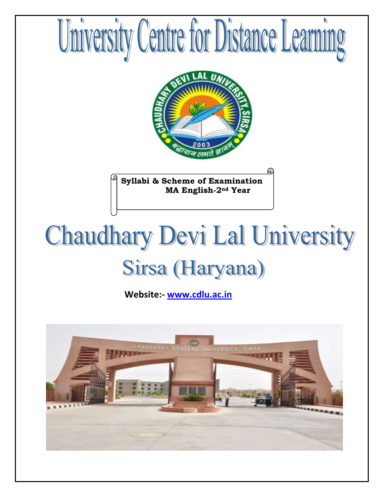

# **Chaudhary Devi Lal University** Sirsa (Haryana)

 **Website:- [www.cdlu.ac.in](http://www.cdlu.ac.in/)**

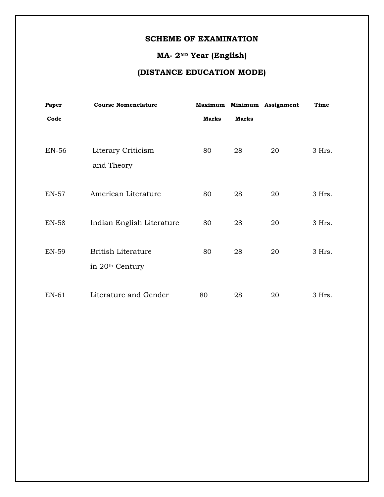# **SCHEME OF EXAMINATION**

# **MA- 2ND Year (English)**

# **(DISTANCE EDUCATION MODE)**

| Paper        | <b>Course Nomenclature</b>  |              |              | Maximum Minimum Assignment | Time   |
|--------------|-----------------------------|--------------|--------------|----------------------------|--------|
| Code         |                             | <b>Marks</b> | <b>Marks</b> |                            |        |
|              |                             |              |              |                            |        |
| <b>EN-56</b> | Literary Criticism          | 80           | 28           | 20                         | 3 Hrs. |
|              | and Theory                  |              |              |                            |        |
|              |                             |              |              |                            |        |
| <b>EN-57</b> | American Literature         | 80           | 28           | 20                         | 3 Hrs. |
|              |                             |              |              |                            |        |
| <b>EN-58</b> | Indian English Literature   | 80           | 28           | 20                         | 3 Hrs. |
|              |                             |              |              |                            |        |
| <b>EN-59</b> | <b>British Literature</b>   | 80           | 28           | 20                         | 3 Hrs. |
|              | in 20 <sup>th</sup> Century |              |              |                            |        |
|              |                             |              |              |                            |        |
| EN-61        | Literature and Gender       | 80           | 28           | 20                         | 3 Hrs. |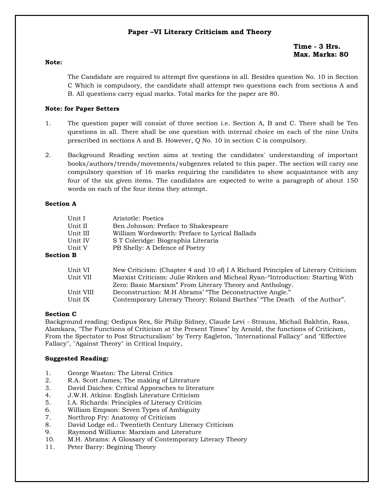# **Paper –VI Literary Criticism and Theory**

**Time - 3 Hrs. Max. Marks: 80**

#### **Note:**

The Candidate are required to attempt five questions in all. Besides question No. 10 in Section C Which is compulsory, the candidate shall attempt two questions each from sections A and B. All questions carry equal marks. Total marks for the paper are 80.

#### **Note: for Paper Setters**

- 1. The question paper will consist of three section i.e. Section A, B and C. There shall be Ten questions in all. There shall be one question with internal choice on each of the nine Units prescribed in sections A and B. However, Q No. 10 in section C is compulsory.
- 2. Background Reading section aims at testing the candidates' understanding of important books/authors/trends/movements/subgenres related to this paper. The section will carry one compulsory question of 16 marks requiring the candidates to show acquaintance with any four of the six given items. The candidates are expected to write a paragraph of about 150 words on each of the four items they attempt.

#### **Section A**

| Unit I           | Aristotle: Poetics                             |
|------------------|------------------------------------------------|
| Unit II          | Ben Johnson: Preface to Shakespeare            |
| Unit III         | William Wordsworth: Preface to Lyrical Ballads |
| Unit IV          | S T Coleridge: Biographia Literaria            |
| Unit V           | PB Shelly: A Defence of Poetry                 |
| <b>Section B</b> |                                                |

| Unit VI   | New Criticism: (Chapter 4 and 10 of) I A Richard Principles of Literary Criticism |  |
|-----------|-----------------------------------------------------------------------------------|--|
| Unit VII  | Marxist Criticism: Julie Rivken and Micheal Ryan-"Introduction: Starting With     |  |
|           | Zero: Basic Marxism" From Literary Theory and Anthology.                          |  |
| Unit VIII | Deconstruction: M.H Abrams' "The Deconstructive Angle."                           |  |
| Unit IX   | Contemporary Literary Theory: Roland Barthes' "The Death of the Author".          |  |

#### **Section C**

Background reading: Oedipus Rex, Sir Philip Sidney, Claude Levi - Strauss, Michail Bakhtin, Rasa, Alamkara, "The Functions of Criticism at the Present Times" by Arnold, the functions of Criticism, From the Spectator to Post Structuralism" by Terry Eagleton, "International Fallacy" and "Effective Fallacy", "Against Theory" in Critical Inquiry,

- 1. George Waston: The Literal Critics
- 2. R.A. Scott James; The making of Literature
- 3. David Daiches: Critical Apporaches to literature
- 4. J.W.H. Atkins: English Literature Criticism
- 5. I.A. Richards: Principles of Literacy Criticim
- 6. William Empson: Seven Types of Ambiguity
- 7. Northrop Fry: Anatomy of Criticism
- 8. David Lodge ed.: Twentieth Century Literacy Criticism
- 9. Raymond Williams: Marxism and Literature
- 10. M.H. Abrams: A Glossary of Contemporary Literary Theory
- 11. Peter Barry: Begining Theory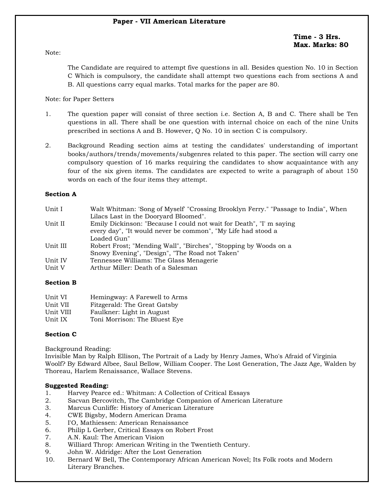**Time - 3 Hrs. Max. Marks: 80**

Note:

The Candidate are required to attempt five questions in all. Besides question No. 10 in Section C Which is compulsory, the candidate shall attempt two questions each from sections A and B. All questions carry equal marks. Total marks for the paper are 80.

# Note: for Paper Setters

- 1. The question paper will consist of three section i.e. Section A, B and C. There shall be Ten questions in all. There shall be one question with internal choice on each of the nine Units prescribed in sections A and B. However, Q No. 10 in section C is compulsory.
- 2. Background Reading section aims at testing the candidates' understanding of important books/authors/trends/movements/subgenres related to this paper. The section will carry one compulsory question of 16 marks requiring the candidates to show acquaintance with any four of the six given items. The candidates are expected to write a paragraph of about 150 words on each of the four items they attempt.

# **Section A**

| Unit I   | Walt Whitman: 'Song of Myself' "Crossing Brooklyn Ferry." "Passage to India", When |
|----------|------------------------------------------------------------------------------------|
|          | Lilacs Last in the Dooryard Bloomed".                                              |
| Unit II  | Emily Dickinson: "Because I could not wait for Death", "I' m saying                |
|          | every day", "It would never be common", "My Life had stood a                       |
|          | Loaded Gun"                                                                        |
| Unit III | Robert Frost; "Mending Wall", "Birches", "Stopping by Woods on a                   |
|          | Snowy Evening", "Design", "The Road not Taken"                                     |
| Unit IV  | Tennessee Williams: The Glass Menagerie                                            |
| Unit V   | Arthur Miller: Death of a Salesman                                                 |
|          |                                                                                    |

# **Section B**

| Unit VI   | Hemingway: A Farewell to Arms |
|-----------|-------------------------------|
| Unit VII  | Fitzgerald: The Great Gatsby  |
| Unit VIII | Faulkner: Light in August     |
| Unit IX   | Toni Morrison: The Bluest Eye |

# **Section C**

Background Reading:

Invisible Man by Ralph Ellison, The Portrait of a Lady by Henry James, Who's Afraid of Virginia Woolf? By Edward Albee, Saul Bellow, William Cooper. The Lost Generation, The Jazz Age, Walden by Thoreau, Harlem Renaissance, Wallace Stevens.

- 1. Harvey Pearce ed.: Whitman: A Collection of Critical Essays
- 2. Sacvan Bercovitch, The Cambridge Companion of American Literature
- 3. Marcus Cunliffe: History of American Literature
- 4. CWE Bigsby, Modern American Drama
- 5. I'O, Mathiessen: American Renaissance
- 6. Philip L Gerber, Critical Essays on Robert Frost
- 7. A.N. Kaul: The American Vision
- 8. Williard Throp: American Writing in the Twentieth Century.
- 9. John W. Aldridge: After the Lost Generation
- 10. Bernard W Bell, The Contemporary African American Novel; Its Folk roots and Modern Literary Branches.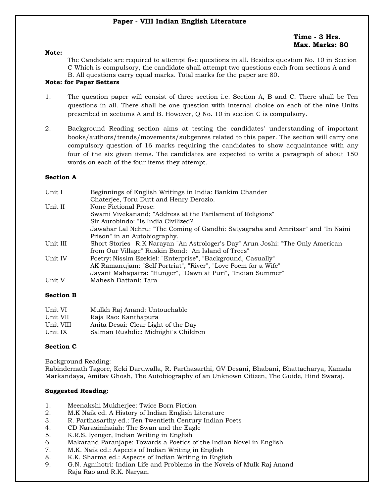# **Time - 3 Hrs. Max. Marks: 80**

#### **Note:**

The Candidate are required to attempt five questions in all. Besides question No. 10 in Section C Which is compulsory, the candidate shall attempt two questions each from sections A and B. All questions carry equal marks. Total marks for the paper are 80.

# **Note: for Paper Setters**

- 1. The question paper will consist of three section i.e. Section A, B and C. There shall be Ten questions in all. There shall be one question with internal choice on each of the nine Units prescribed in sections A and B. However, Q No. 10 in section C is compulsory.
- 2. Background Reading section aims at testing the candidates' understanding of important books/authors/trends/movements/subgenres related to this paper. The section will carry one compulsory question of 16 marks requiring the candidates to show acquaintance with any four of the six given items. The candidates are expected to write a paragraph of about 150 words on each of the four items they attempt.

# **Section A**

| Unit I   | Beginnings of English Writings in India: Bankim Chander                          |  |  |
|----------|----------------------------------------------------------------------------------|--|--|
|          | Chaterjee, Toru Dutt and Henry Derozio.                                          |  |  |
| Unit II  | None Fictional Prose:                                                            |  |  |
|          | Swami Vivekanand; "Address at the Parilament of Religions"                       |  |  |
|          | Sir Aurobindo: "Is India Civilized?                                              |  |  |
|          | Jawahar Lal Nehru: "The Coming of Gandhi: Satyagraha and Amritsar" and "In Naini |  |  |
|          | Prison" in an Autobiography.                                                     |  |  |
| Unit III | Short Stories R.K Narayan "An Astrologer's Day" Arun Joshi: "The Only American   |  |  |
|          | from Our Village" Ruskin Bond: "An Island of Trees"                              |  |  |
| Unit IV  | Poetry: Nissim Ezekiel: "Enterprise", "Background, Casually"                     |  |  |
|          | AK Ramanujam: "Self Portriat", "River", "Love Poem for a Wife"                   |  |  |
|          | Jayant Mahapatra: "Hunger", "Dawn at Puri", "Indian Summer"                      |  |  |
| Unit V   | Mahesh Dattani: Tara                                                             |  |  |

# **Section B**

| Unit VI   | Mulkh Raj Anand: Untouchable        |
|-----------|-------------------------------------|
| Unit VII  | Raja Rao: Kanthapura                |
| Unit VIII | Anita Desai: Clear Light of the Day |
| Unit IX   | Salman Rushdie: Midnight's Children |

# **Section C**

Background Reading:

Rabindernath Tagore, Keki Daruwalla, R. Parthasarthi, GV Desani, Bhabani, Bhattacharya, Kamala Markandaya, Amitav Ghosh, The Autobiography of an Unknown Citizen, The Guide, Hind Swaraj.

- 1. Meenakshi Mukherjee: Twice Born Fiction
- 2. M.K Naik ed. A History of Indian English Literature
- 3. R. Parthasarthy ed.: Ten Twentieth Century Indian Poets
- 4. CD Narasimhaiah: The Swan and the Eagle
- 5. K.R.S. lyenger, Indian Writing in English
- 6. Makarand Paranjape: Towards a Poetics of the Indian Novel in English
- 7. M.K. Naik ed.: Aspects of Indian Writing in English
- 8. K.K. Sharma ed.: Aspects of Indian Writing in English
- 9. G.N. Agnihotri: Indian Life and Problems in the Novels of Mulk Raj Anand Raja Rao and R.K. Naryan.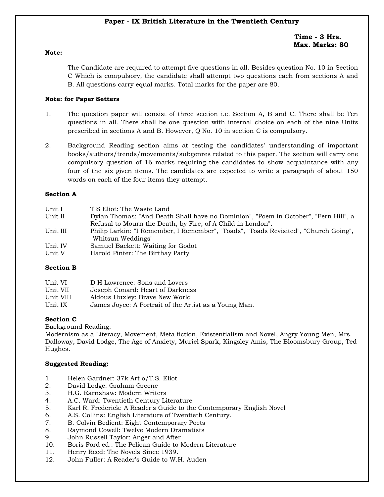# **Paper - IX British Literature in the Twentieth Century**

# **Time - 3 Hrs. Max. Marks: 80**

#### **Note:**

The Candidate are required to attempt five questions in all. Besides question No. 10 in Section C Which is compulsory, the candidate shall attempt two questions each from sections A and B. All questions carry equal marks. Total marks for the paper are 80.

# **Note: for Paper Setters**

- 1. The question paper will consist of three section i.e. Section A, B and C. There shall be Ten questions in all. There shall be one question with internal choice on each of the nine Units prescribed in sections A and B. However, Q No. 10 in section C is compulsory.
- 2. Background Reading section aims at testing the candidates' understanding of important books/authors/trends/movements/subgenres related to this paper. The section will carry one compulsory question of 16 marks requiring the candidates to show acquaintance with any four of the six given items. The candidates are expected to write a paragraph of about 150 words on each of the four items they attempt.

# **Section A**

| Unit I   | T S Eliot: The Waste Land                                                            |
|----------|--------------------------------------------------------------------------------------|
| Unit II  | Dylan Thomas: "And Death Shall have no Dominion", "Poem in October", "Fern Hill", a  |
|          | Refusal to Mourn the Death, by Fire, of A Child in London".                          |
| Unit III | Philip Larkin: "I Remember, I Remember", "Toads", "Toads Revisited", "Church Going", |
|          | "Whitsun Weddings"                                                                   |
| Unit IV  | Samuel Backett: Waiting for Godot                                                    |
| Unit V   | Harold Pinter: The Birthay Party                                                     |

# **Section B**

| Unit VI   | D H Lawrence: Sons and Lovers                         |
|-----------|-------------------------------------------------------|
| Unit VII  | Joseph Conard: Heart of Darkness                      |
| Unit VIII | Aldous Huxley: Brave New World                        |
| Unit IX   | James Joyce: A Portrait of the Artist as a Young Man. |

# **Section C**

Background Reading:

Modernism as a Literacy, Movement, Meta fiction, Existentialism and Novel, Angry Young Men, Mrs. Dalloway, David Lodge, The Age of Anxiety, Muriel Spark, Kingsley Amis, The Bloomsbury Group, Ted Hughes.

- 1. Helen Gardner: 37k Art o/T.S. Eliot
- 2. David Lodge: Graham Greene
- 3. H.G. Earnshaw: Modern Writers
- 4. A.C. Ward: Twentieth Century Literature
- 5. Karl R. Frederick: A Reader's Guide to the Contemporary English Novel
- 6. A.S. Collins: English Literature of Twentieth Century.
- 7. B. Colvin Bedient: Eight Contemporary Poets
- 8. Raymond Cowell: Twelve Modern Dramatists
- 9. John Russell Taylor: Anger and After
- 10. Boris Ford ed.: The Pelican Guide to Modern Literature
- 11. Henry Reed: The Novels Since 1939.
- 12. John Fuller: A Reader's Guide to W.H. Auden